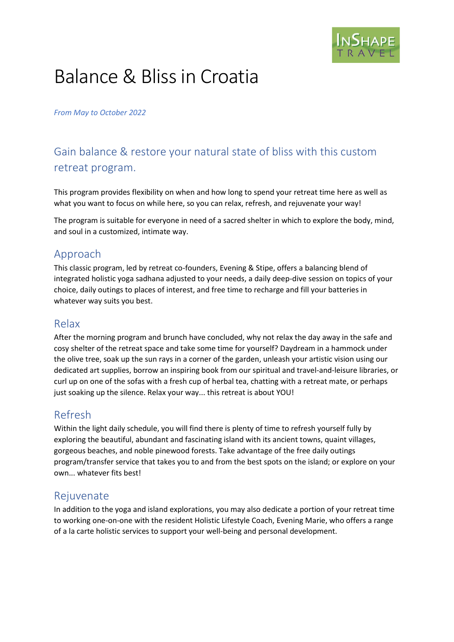

# Balance & Bliss in Croatia

#### *From May to October 2022*

# Gain balance & restore your natural state of bliss with this custom retreat program.

This program provides flexibility on when and how long to spend your retreat time here as well as what you want to focus on while here, so you can relax, refresh, and rejuvenate your way!

The program is suitable for everyone in need of a sacred shelter in which to explore the body, mind, and soul in a customized, intimate way.

## Approach

This classic program, led by retreat co-founders, Evening & Stipe, offers a balancing blend of integrated holistic yoga sadhana adjusted to your needs, a daily deep-dive session on topics of your choice, daily outings to places of interest, and free time to recharge and fill your batteries in whatever way suits you best.

### Relax

After the morning program and brunch have concluded, why not relax the day away in the safe and cosy shelter of the retreat space and take some time for yourself? Daydream in a hammock under the olive tree, soak up the sun rays in a corner of the garden, unleash your artistic vision using our dedicated art supplies, borrow an inspiring book from our spiritual and travel-and-leisure libraries, or curl up on one of the sofas with a fresh cup of herbal tea, chatting with a retreat mate, or perhaps just soaking up the silence. Relax your way... this retreat is about YOU!

## Refresh

Within the light daily schedule, you will find there is plenty of time to refresh yourself fully by exploring the beautiful, abundant and fascinating island with its ancient towns, quaint villages, gorgeous beaches, and noble pinewood forests. Take advantage of the free daily outings program/transfer service that takes you to and from the best spots on the island; or explore on your own... whatever fits best!

### Rejuvenate

In addition to the yoga and island explorations, you may also dedicate a portion of your retreat time to working one-on-one with the resident Holistic Lifestyle Coach, Evening Marie, who offers a range of a la carte holistic services to support your well-being and personal development.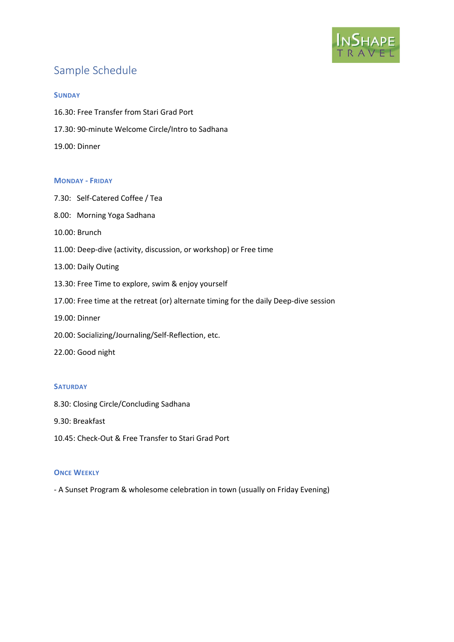

# Sample Schedule

#### **SUNDAY**

- 16.30: Free Transfer from Stari Grad Port
- 17.30: 90-minute Welcome Circle/Intro to Sadhana

19.00: Dinner

#### **MONDAY - FRIDAY**

- 7.30: Self-Catered Coffee / Tea
- 8.00: Morning Yoga Sadhana
- 10.00: Brunch
- 11.00: Deep-dive (activity, discussion, or workshop) or Free time
- 13.00: Daily Outing
- 13.30: Free Time to explore, swim & enjoy yourself
- 17.00: Free time at the retreat (or) alternate timing for the daily Deep-dive session
- 19.00: Dinner
- 20.00: Socializing/Journaling/Self-Reflection, etc.
- 22.00: Good night

#### **SATURDAY**

- 8.30: Closing Circle/Concluding Sadhana
- 9.30: Breakfast
- 10.45: Check-Out & Free Transfer to Stari Grad Port

#### **ONCE WEEKLY**

- A Sunset Program & wholesome celebration in town (usually on Friday Evening)